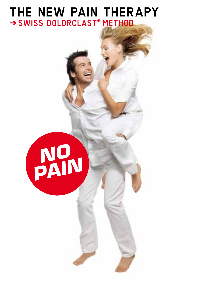#### **THE NEW PAIN THERAPY <sup>→</sup>SWISS DOLORCLAST® METHOD**

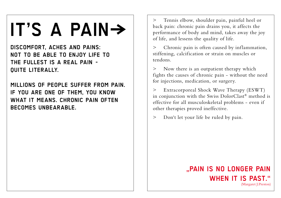# **IT'S A PAIN}**

**DISCOMFORT, ACHES AND PAINS: NOT TO BE ABLE TO ENJOY LIFE TO THE FULLEST IS A REAL PAIN - QUITE LITERALLY.**

**MILLIONS OF PEOPLE SUFFER FROM PAIN. IF YOU ARE ONE OF THEM, YOU KNOW WHAT IT MEANS. CHRONIC PAIN OFTEN BECOMES UNBEARABLE.**

> Tennis elbow, shoulder pain, painful heel or back pain: chronic pain drains you, it affects the performance of body and mind, takes away the joy of life, and lessens the quality of life.

> Chronic pain is often caused by inflammation, stiffening, calcification or strain on muscles or tendons.

> Now there is an outpatient therapy which fights the causes of chronic pain - without the need for injections, medication, or surgery.

> Extracorporeal Shock Wave Therapy (ESWT) in conjunction with the Swiss DolorClast® method is effective for all musculoskeletal problems - even if other therapies proved ineffective.

> Don't let your life be ruled by pain.

#### **"PAIN IS NO LONGER PAIN WHEN IT IS PAST."** (Margaret J.Preston)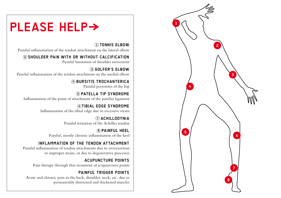

### **PLEASE HELP>**

**1 TENNIS ELBOW** Painful inflammation of the tendon attachment on the lateral elbow

**2 SHOULDER PAIN WITH OR WITHOUT CALCIFICATION** Painful limitation of shoulder movement

**3 GOLFER'S ELBOW** Painful inflammation of the tendon attachment on the medial elbow

> **4 BURSITIS TROCHANTERICA** Painful periostitis of the hip

**5 PATELLA TIP SYNDROME** Inflammation of the point of attachment of the patellar ligament

> **6 TIBIAL EDGE SYNDROME** Inflammation of the tibial edge due to excessive strain

> > **7 ACHILLODYNIA** Painful irritation of the Achilles tendon

**8 PAINFUL HEEL** Painful, mostly chronic inflammation of the heel

#### **INFLAMMATION OF THE TENDON ATTACHMENT**

Painful inflammation of tendon attachments due to overexertion or improper strain, or due to degenerative processes

**ACUPUNCTURE POINTS** Pain therapy through that treatment of acupuncture points

**PAINFUL TRIGGER POINTS** Acute and chronic pain in the back, shoulder, neck, etc. due to permanently shortened and thickened muscles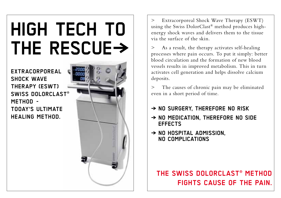# **HIGH TECH TO** THE RESCUE->

**EXTRACORPOREAL SHOCK WAVE THERAPY (ESWT) SWISS dOLORCLASt® METHOD - TOOAY'S ULTIMATE HEALING METHOD.**



> Extracorporeal Shock Wave Therapy (ESWT) using the Swiss DolorClast® method produces highenergy shock waves and delivers them to the tissue via the surface of the skin.

As a result, the therapy activates self-healing processes where pain occurs. To put it simply: better blood circulation and the formation of new blood vessels results in improved metabolism. This in turn activates cell generation and helps dissolve calcium deposits.

> The causes of chronic pain may be eliminated even in a short period of time.

#### **} NO SURGERY, THEREFORE NO RISK**

- **} NO MEDICATION, THEREFORE NO SIDE EFFECTS**
- **} NO HOSPITAL ADMISSION, NO COMPLICATIONS**

### **THE SWISS DOLORCLAST® METHOD FIGHTS CAUSE OF THE PAIN.**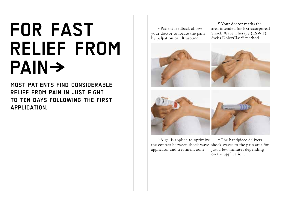## **FOR FAST RELIEF FROM PAIN}**

**MOST PATIENTS FINd CONSIDERABLE RELIEF FROM PAIN IN JUST EIGHT TO TEN dAYS FOLLOWING THE FIRST APPLICATION.**

**1** Patient feedback allows your doctor to locate the pain by palpation or ultrasound.

**2** Your doctor marks the area intended for Extracorporeal Shock Wave Therapy (ESWT), Swiss DolorClast® method.









3 A gel is applied to optimize applicator and treatment zone.

the contact between shock wave shock waves to the pain area for 4 The handpiece delivers just a few minutes depending on the application.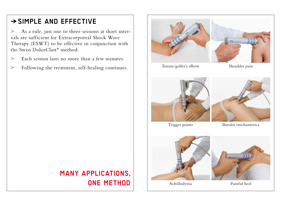### **}SIMPLE AND EFFECTIVE**

> As a rule, just one to three sessions at short intervals are sufficient for Extracorporeal Shock Wave Therapy (ESWT) to be effective in conjunction with the Swiss DolorClast® method.

- > Each session lasts no more than a few minutes.
- > Following the treatment, self-healing continues.

### **MANY APPLICATIONS, ONE METHOD**

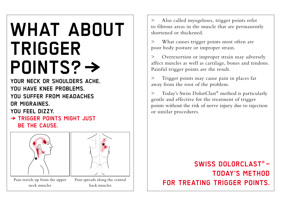## **WHAT ABOUT TRIGGER POINTS? →**

YOUR NECK OR SHOULDERS ACHE **YOU HAVE KNEE PROBLEMS. YOU SUFFER FROM HEADACHES OR MIGRAINES.**

**YOU FEEL DIZZY.**

**} TRIGGER POINTS MIGHT JUST BE THE CAUSE.**



> Also called myogeloses, trigger points refer to fibrous areas in the muscle that are permanently shortened or thickened.

> What causes trigger points most often are poor body posture or improper strain.

> Overexertion or improper strain may adversely affect muscles as well as cartilage, bones and tendons. Painful trigger points are the result.

> Trigger points may cause pain in places far away from the root of the problem.

> Today's Swiss DolorClast® method is particularly gentle and effective for the treatment of trigger points without the risk of nerve injury due to injection or similar procedures.

### **SWISS DOLORCLAST® – TODAY'S METHOD**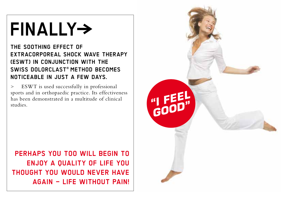## **FINALLY}**

**THE SOOTHING EFFECT OF EXTRACORPOREAL sHOCK WAVE THERAPY (ESwt) IN CONJUNCTION WITH THE SWISS DOLORCLAST® METHOD BECOMES NOTICEABLE IN JUST A FEW DAYS.**

> ESWT is used successfully in professional sports and in orthopaedic practice. Its effectiveness has been demonstrated in a multitude of clinical studies.

**PERHAPS YOU TOO WILL BEGIN TO ENJOY A QUALITY OF LIFE YOU THOUGHT YOU WOULD NEVER HAVE AGAIN – LIFE WITHOUT PAIN!**